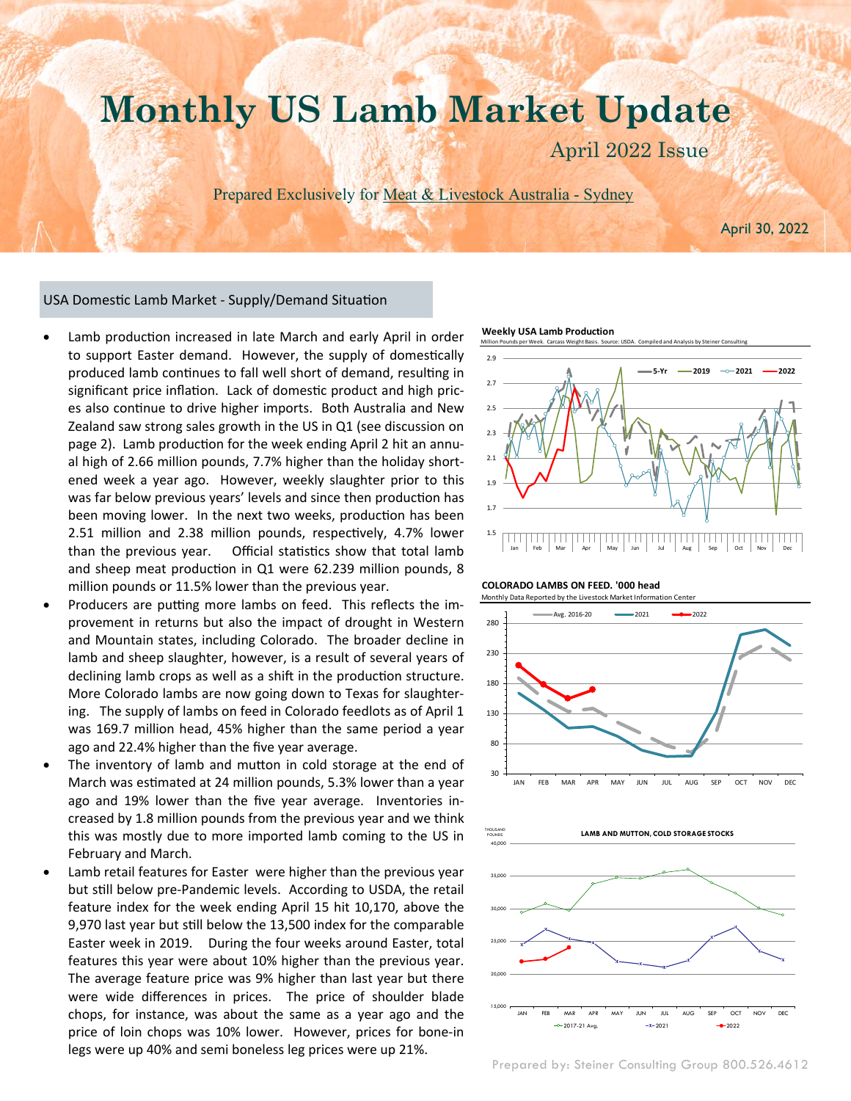# **Monthly US Lamb Market Update**

April 2022 Issue

Prepared Exclusively for Meat & Livestock Australia - Sydney

April 30, 2022

#### USA Domestic Lamb Market - Supply/Demand Situation

March 2022 Issue

- Lamb production increased in late March and early April in order to support Easter demand. However, the supply of domestically produced lamb continues to fall well short of demand, resulting in significant price inflation. Lack of domestic product and high prices also continue to drive higher imports. Both Australia and New Zealand saw strong sales growth in the US in Q1 (see discussion on page 2). Lamb production for the week ending April 2 hit an annual high of 2.66 million pounds, 7.7% higher than the holiday shortened week a year ago. However, weekly slaughter prior to this was far below previous years' levels and since then production has been moving lower. In the next two weeks, production has been 2.51 million and 2.38 million pounds, respectively, 4.7% lower than the previous year. Official statistics show that total lamb and sheep meat production in Q1 were 62.239 million pounds, 8 million pounds or 11.5% lower than the previous year.
- Producers are putting more lambs on feed. This reflects the improvement in returns but also the impact of drought in Western and Mountain states, including Colorado. The broader decline in lamb and sheep slaughter, however, is a result of several years of declining lamb crops as well as a shift in the production structure. More Colorado lambs are now going down to Texas for slaughtering. The supply of lambs on feed in Colorado feedlots as of April 1 was 169.7 million head, 45% higher than the same period a year ago and 22.4% higher than the five year average.
- The inventory of lamb and mutton in cold storage at the end of March was estimated at 24 million pounds, 5.3% lower than a year ago and 19% lower than the five year average. Inventories increased by 1.8 million pounds from the previous year and we think this was mostly due to more imported lamb coming to the US in February and March.
- Lamb retail features for Easter were higher than the previous year but still below pre-Pandemic levels. According to USDA, the retail feature index for the week ending April 15 hit 10,170, above the 9,970 last year but still below the 13,500 index for the comparable Easter week in 2019. During the four weeks around Easter, total features this year were about 10% higher than the previous year. The average feature price was 9% higher than last year but there were wide differences in prices. The price of shoulder blade chops, for instance, was about the same as a year ago and the price of loin chops was 10% lower. However, prices for bone-in legs were up 40% and semi boneless leg prices were up 21%.

**Weekly USA Lamb Production**









Prepared by: Steiner Consulting Group 800.526.4612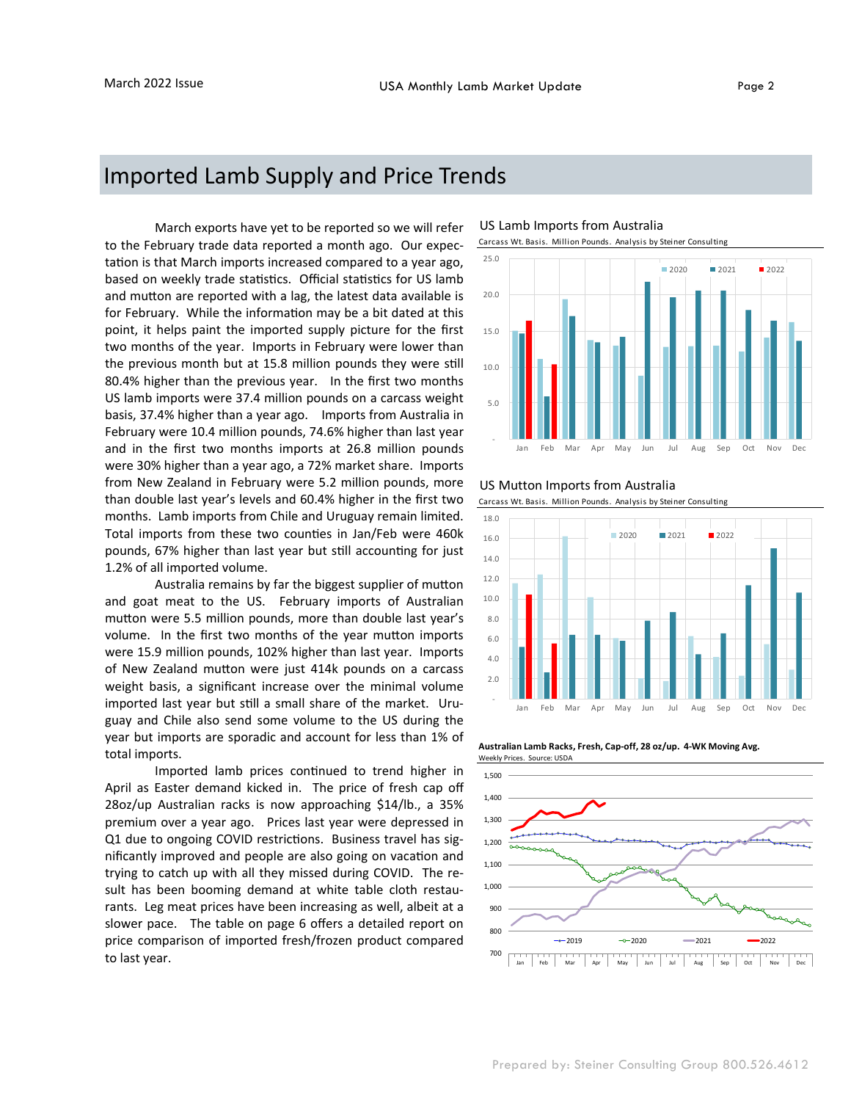### Imported Lamb Supply and Price Trends

 March exports have yet to be reported so we will refer to the February trade data reported a month ago. Our expectation is that March imports increased compared to a year ago, based on weekly trade statistics. Official statistics for US lamb and mutton are reported with a lag, the latest data available is for February. While the information may be a bit dated at this point, it helps paint the imported supply picture for the first two months of the year. Imports in February were lower than the previous month but at 15.8 million pounds they were still 80.4% higher than the previous year. In the first two months US lamb imports were 37.4 million pounds on a carcass weight basis, 37.4% higher than a year ago. Imports from Australia in February were 10.4 million pounds, 74.6% higher than last year and in the first two months imports at 26.8 million pounds were 30% higher than a year ago, a 72% market share. Imports from New Zealand in February were 5.2 million pounds, more than double last year's levels and 60.4% higher in the first two months. Lamb imports from Chile and Uruguay remain limited. Total imports from these two counties in Jan/Feb were 460k pounds, 67% higher than last year but still accounting for just 1.2% of all imported volume.

Australia remains by far the biggest supplier of mutton and goat meat to the US. February imports of Australian mutton were 5.5 million pounds, more than double last year's volume. In the first two months of the year mutton imports were 15.9 million pounds, 102% higher than last year. Imports of New Zealand mutton were just 414k pounds on a carcass weight basis, a significant increase over the minimal volume imported last year but still a small share of the market. Uruguay and Chile also send some volume to the US during the year but imports are sporadic and account for less than 1% of total imports.

Imported lamb prices continued to trend higher in April as Easter demand kicked in. The price of fresh cap off 28oz/up Australian racks is now approaching \$14/lb., a 35% premium over a year ago. Prices last year were depressed in Q1 due to ongoing COVID restrictions. Business travel has significantly improved and people are also going on vacation and trying to catch up with all they missed during COVID. The result has been booming demand at white table cloth restaurants. Leg meat prices have been increasing as well, albeit at a slower pace. The table on page 6 offers a detailed report on price comparison of imported fresh/frozen product compared to last year.

#### US Lamb Imports from Australia





#### US Mutton Imports from Australia



**Australian Lamb Racks, Fresh, Cap-off, 28 oz/up. 4-WK Moving Avg.** Weekly Prices. Source: USDA

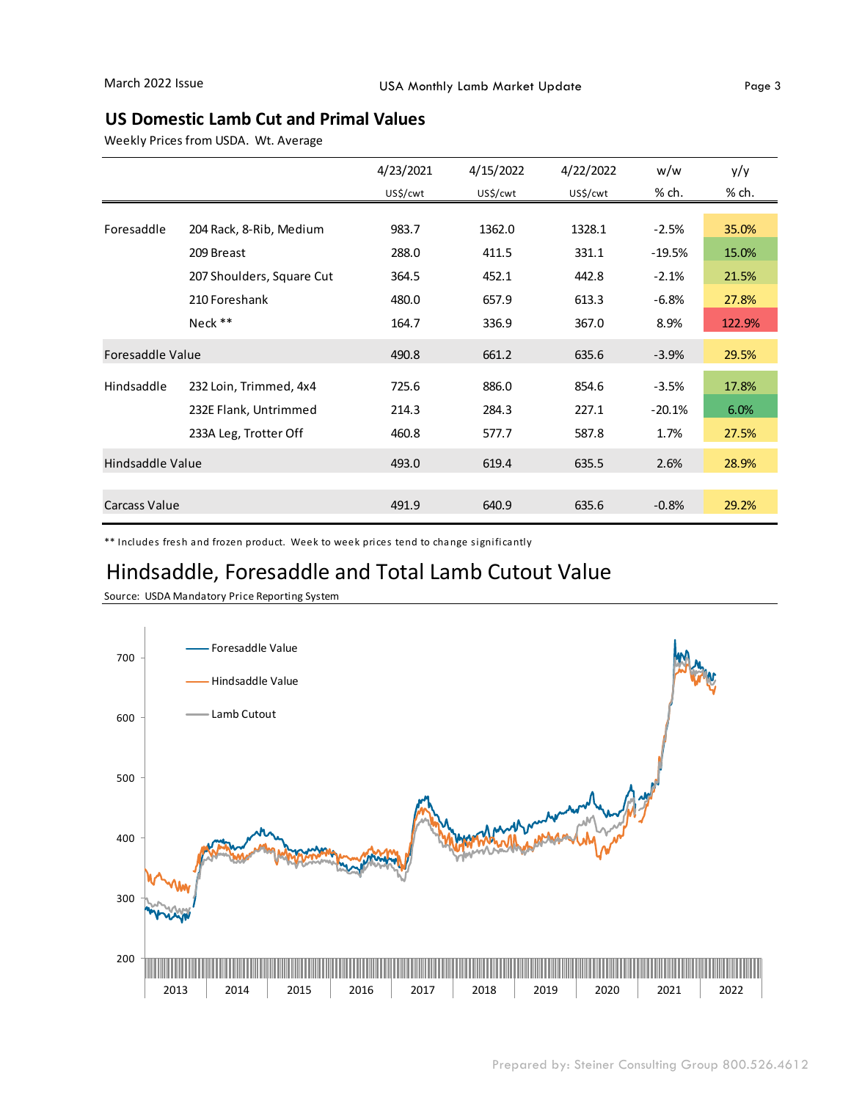#### **US Domestic Lamb Cut and Primal Values**

Weekly Prices from USDA. Wt. Average

|                  |                           | 4/23/2021 | 4/15/2022 | 4/22/2022 | w/w      | y/y    |
|------------------|---------------------------|-----------|-----------|-----------|----------|--------|
|                  |                           | US\$/cwt  | US\$/cwt  | US\$/cwt  | % ch.    | % ch.  |
|                  |                           |           |           |           |          |        |
| Foresaddle       | 204 Rack, 8-Rib, Medium   | 983.7     | 1362.0    | 1328.1    | $-2.5%$  | 35.0%  |
|                  | 209 Breast                | 288.0     | 411.5     | 331.1     | $-19.5%$ | 15.0%  |
|                  | 207 Shoulders, Square Cut | 364.5     | 452.1     | 442.8     | $-2.1%$  | 21.5%  |
|                  | 210 Foreshank             | 480.0     | 657.9     | 613.3     | $-6.8%$  | 27.8%  |
|                  | Neck **                   | 164.7     | 336.9     | 367.0     | 8.9%     | 122.9% |
| Foresaddle Value |                           | 490.8     | 661.2     | 635.6     | $-3.9%$  | 29.5%  |
| Hindsaddle       | 232 Loin, Trimmed, 4x4    | 725.6     | 886.0     | 854.6     | $-3.5%$  | 17.8%  |
|                  | 232E Flank, Untrimmed     | 214.3     | 284.3     | 227.1     | $-20.1%$ | 6.0%   |
|                  | 233A Leg, Trotter Off     | 460.8     | 577.7     | 587.8     | 1.7%     | 27.5%  |
| Hindsaddle Value |                           | 493.0     | 619.4     | 635.5     | 2.6%     | 28.9%  |
| Carcass Value    |                           | 491.9     | 640.9     | 635.6     | $-0.8%$  | 29.2%  |
|                  |                           |           |           |           |          |        |

\*\* Includes fresh and frozen product. Week to week prices tend to change significantly

## Hindsaddle, Foresaddle and Total Lamb Cutout Value



Source: USDA Mandatory Price Reporting System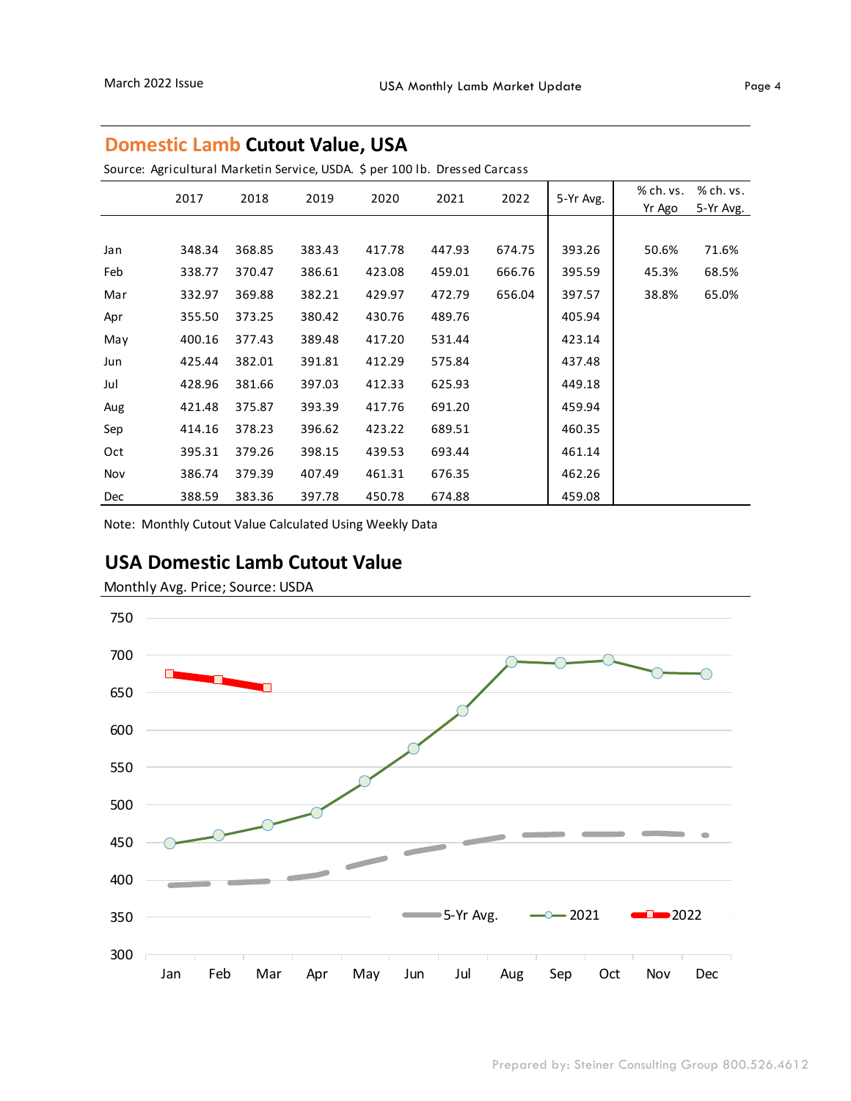#### **Domestic Lamb Cutout Value, USA**

Source: Agricultural Marketin Service, USDA. \$ per 100 lb. Dressed Carcass

|     | 2017   | 2018   | 2019   | 2020   | 2021   | 2022   | 5-Yr Avg. | % ch. vs.<br>Yr Ago | % ch. vs.<br>5-Yr Avg. |
|-----|--------|--------|--------|--------|--------|--------|-----------|---------------------|------------------------|
|     |        |        |        |        |        |        |           |                     |                        |
| Jan | 348.34 | 368.85 | 383.43 | 417.78 | 447.93 | 674.75 | 393.26    | 50.6%               | 71.6%                  |
| Feb | 338.77 | 370.47 | 386.61 | 423.08 | 459.01 | 666.76 | 395.59    | 45.3%               | 68.5%                  |
| Mar | 332.97 | 369.88 | 382.21 | 429.97 | 472.79 | 656.04 | 397.57    | 38.8%               | 65.0%                  |
| Apr | 355.50 | 373.25 | 380.42 | 430.76 | 489.76 |        | 405.94    |                     |                        |
| May | 400.16 | 377.43 | 389.48 | 417.20 | 531.44 |        | 423.14    |                     |                        |
| Jun | 425.44 | 382.01 | 391.81 | 412.29 | 575.84 |        | 437.48    |                     |                        |
| Jul | 428.96 | 381.66 | 397.03 | 412.33 | 625.93 |        | 449.18    |                     |                        |
| Aug | 421.48 | 375.87 | 393.39 | 417.76 | 691.20 |        | 459.94    |                     |                        |
| Sep | 414.16 | 378.23 | 396.62 | 423.22 | 689.51 |        | 460.35    |                     |                        |
| Oct | 395.31 | 379.26 | 398.15 | 439.53 | 693.44 |        | 461.14    |                     |                        |
| Nov | 386.74 | 379.39 | 407.49 | 461.31 | 676.35 |        | 462.26    |                     |                        |
| Dec | 388.59 | 383.36 | 397.78 | 450.78 | 674.88 |        | 459.08    |                     |                        |

Note: Monthly Cutout Value Calculated Using Weekly Data

### **USA Domestic Lamb Cutout Value**

Monthly Avg. Price; Source: USDA

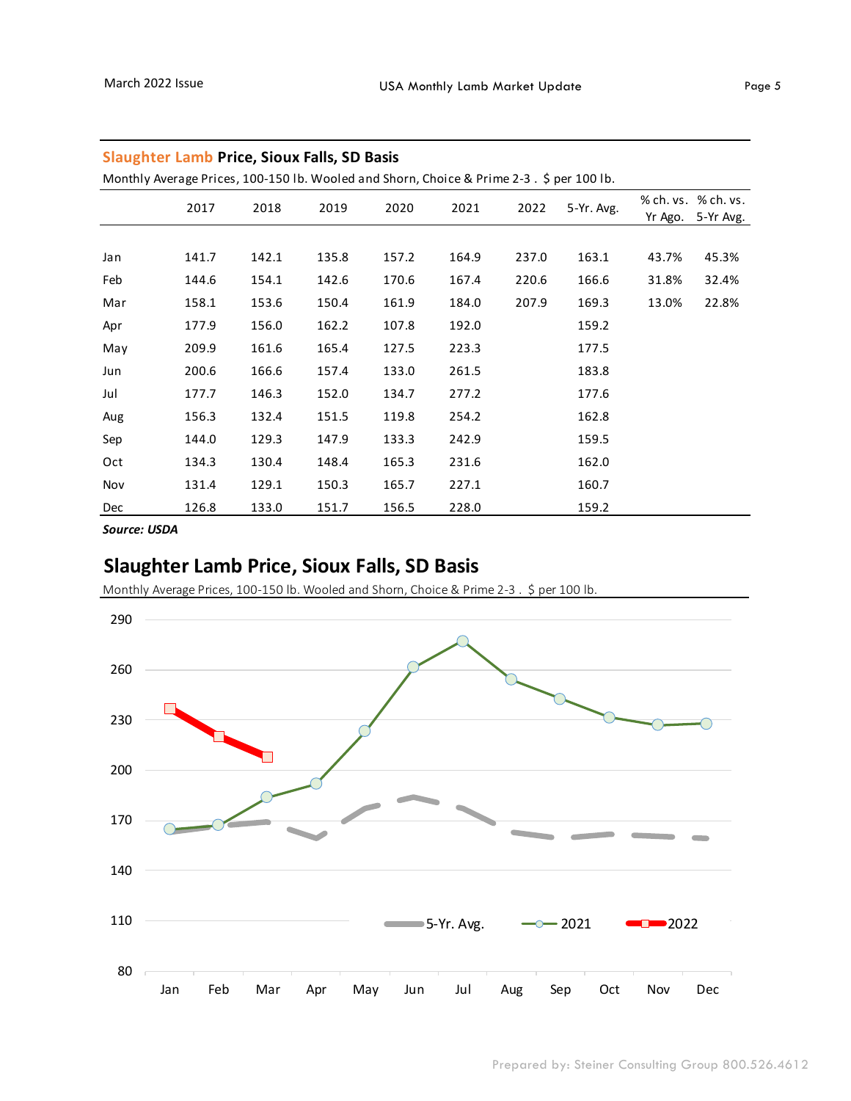| Monthly Average Prices, 100-150 lb. Wooled and Shorn, Choice & Prime 2-3. \$ per 100 lb. |       |       |       |       |       |       |            |         |                                  |
|------------------------------------------------------------------------------------------|-------|-------|-------|-------|-------|-------|------------|---------|----------------------------------|
|                                                                                          | 2017  | 2018  | 2019  | 2020  | 2021  | 2022  | 5-Yr. Avg. | Yr Ago. | % ch. vs. % ch. vs.<br>5-Yr Avg. |
|                                                                                          |       |       |       |       |       |       |            |         |                                  |
| Jan                                                                                      | 141.7 | 142.1 | 135.8 | 157.2 | 164.9 | 237.0 | 163.1      | 43.7%   | 45.3%                            |
| Feb                                                                                      | 144.6 | 154.1 | 142.6 | 170.6 | 167.4 | 220.6 | 166.6      | 31.8%   | 32.4%                            |
| Mar                                                                                      | 158.1 | 153.6 | 150.4 | 161.9 | 184.0 | 207.9 | 169.3      | 13.0%   | 22.8%                            |
| Apr                                                                                      | 177.9 | 156.0 | 162.2 | 107.8 | 192.0 |       | 159.2      |         |                                  |
| May                                                                                      | 209.9 | 161.6 | 165.4 | 127.5 | 223.3 |       | 177.5      |         |                                  |
| Jun                                                                                      | 200.6 | 166.6 | 157.4 | 133.0 | 261.5 |       | 183.8      |         |                                  |
| Jul                                                                                      | 177.7 | 146.3 | 152.0 | 134.7 | 277.2 |       | 177.6      |         |                                  |
| Aug                                                                                      | 156.3 | 132.4 | 151.5 | 119.8 | 254.2 |       | 162.8      |         |                                  |
| Sep                                                                                      | 144.0 | 129.3 | 147.9 | 133.3 | 242.9 |       | 159.5      |         |                                  |
| Oct                                                                                      | 134.3 | 130.4 | 148.4 | 165.3 | 231.6 |       | 162.0      |         |                                  |
| Nov                                                                                      | 131.4 | 129.1 | 150.3 | 165.7 | 227.1 |       | 160.7      |         |                                  |
| Dec                                                                                      | 126.8 | 133.0 | 151.7 | 156.5 | 228.0 |       | 159.2      |         |                                  |

#### **Slaughter Lamb Price, Sioux Falls, SD Basis**

Monthly Average Prices, 100-150 lb. Wooled and Shorn, Choice & Prime 2-3 . \$ per 100 lb.

*Source: USDA*

### **Slaughter Lamb Price, Sioux Falls, SD Basis**

Monthly Average Prices, 100-150 lb. Wooled and Shorn, Choice & Prime 2-3 . \$ per 100 lb.

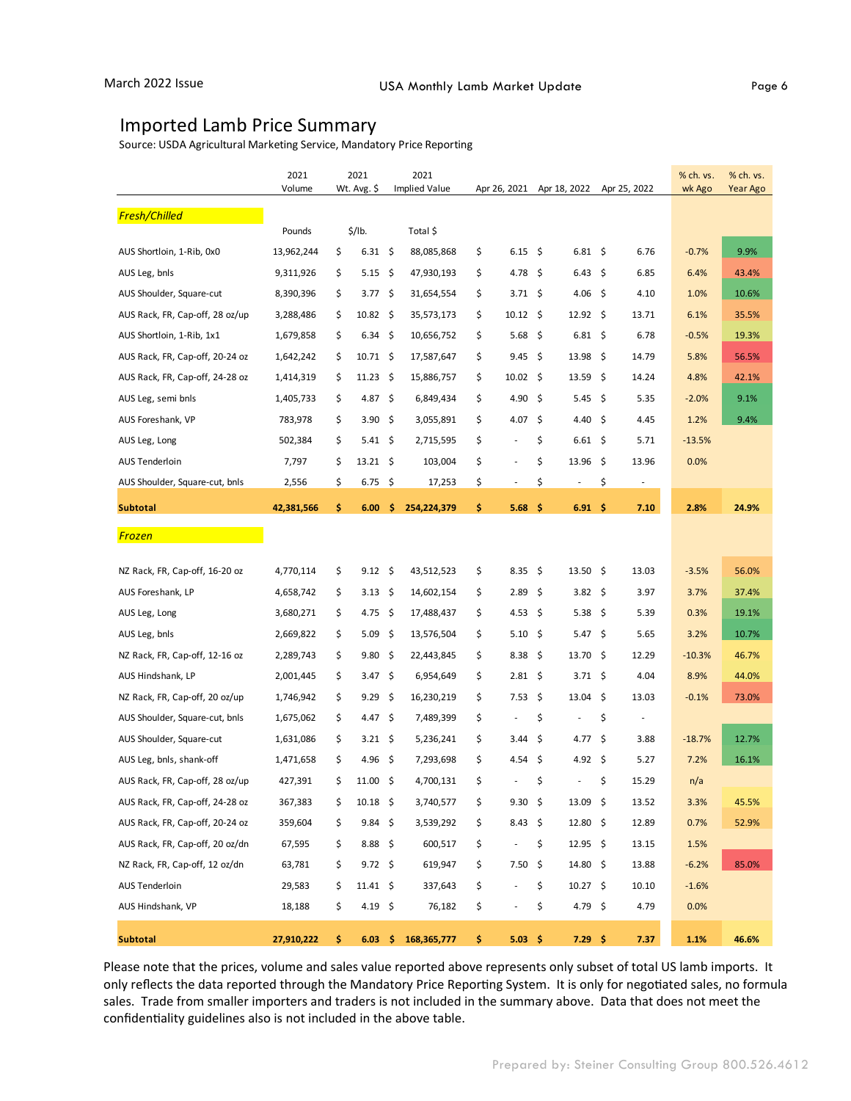#### Imported Lamb Price Summary

Source: USDA Agricultural Marketing Service, Mandatory Price Reporting

|                                 | 2021       |    | 2021                |     | 2021          |                                |                                |      |              | % ch. vs. | % ch. vs. |
|---------------------------------|------------|----|---------------------|-----|---------------|--------------------------------|--------------------------------|------|--------------|-----------|-----------|
|                                 | Volume     |    | Wt. Avg. \$         |     | Implied Value | Apr 26, 2021                   | Apr 18, 2022                   |      | Apr 25, 2022 | wk Ago    | Year Ago  |
| Fresh/Chilled                   |            |    |                     |     |               |                                |                                |      |              |           |           |
|                                 | Pounds     |    | \$/lb.              |     | Total \$      |                                |                                |      |              |           |           |
| AUS Shortloin, 1-Rib, 0x0       | 13,962,244 | \$ | $6.31 \;$ \$        |     | 88,085,868    | \$<br>$6.15\frac{2}{3}$        | $6.81 \;$ \$                   |      | 6.76         | $-0.7%$   | 9.9%      |
| AUS Leg, bnls                   | 9,311,926  | \$ | 5.15                | \$  | 47,930,193    | \$<br>4.78                     | 6.43<br>- \$                   | -\$  | 6.85         | 6.4%      | 43.4%     |
| AUS Shoulder, Square-cut        | 8,390,396  | \$ | 3.77 \$             |     | 31,654,554    | \$<br>3.71 \$                  | 4.06 \$                        |      | 4.10         | 1.0%      | 10.6%     |
| AUS Rack, FR, Cap-off, 28 oz/up | 3,288,486  | \$ | 10.82               | -\$ | 35,573,173    | \$<br>$10.12 \div$             | $12.92 \div$                   |      | 13.71        | 6.1%      | 35.5%     |
| AUS Shortloin, 1-Rib, 1x1       | 1,679,858  | \$ | $6.34 \div$         |     | 10,656,752    | \$<br>5.68 \$                  | $6.81 \quad $$                 |      | 6.78         | $-0.5%$   | 19.3%     |
| AUS Rack, FR, Cap-off, 20-24 oz | 1,642,242  | \$ | $10.71 \pm$         |     | 17,587,647    | \$<br>9.45                     | - \$<br>13.98                  | - \$ | 14.79        | 5.8%      | 56.5%     |
| AUS Rack, FR, Cap-off, 24-28 oz | 1,414,319  | \$ | $11.23 \quad$ \$    |     | 15,886,757    | \$<br>$10.02 \quad$ \$         | $13.59 \quad$ \$               |      | 14.24        | 4.8%      | 42.1%     |
| AUS Leg, semi bnls              | 1,405,733  | \$ | 4.87                | -\$ | 6,849,434     | \$<br>4.90                     | -\$<br>5.45                    | -\$  | 5.35         | $-2.0%$   | 9.1%      |
| AUS Foreshank, VP               | 783,978    | \$ | 3.90 \$             |     | 3,055,891     | \$<br>4.07                     | - \$<br>4.40 \$                |      | 4.45         | 1.2%      | 9.4%      |
| AUS Leg, Long                   | 502,384    | \$ | $5.41 \quad$        |     | 2,715,595     | \$                             | \$<br>$6.61 \;$ \$             |      | 5.71         | $-13.5%$  |           |
| AUS Tenderloin                  | 7,797      | \$ | $13.21 \div$        |     | 103,004       | \$<br>÷,                       | \$<br>$13.96 \quad $$          |      | 13.96        | 0.0%      |           |
| AUS Shoulder, Square-cut, bnls  | 2,556      | \$ | $6.75$ \$           |     | 17,253        | \$<br>$\overline{\phantom{a}}$ | \$<br>$\overline{\phantom{a}}$ | \$   | $\sim$       |           |           |
| <b>Subtotal</b>                 | 42,381,566 | \$ | 6.00                | \$. | 254,224,379   | \$<br>5.68                     | - \$<br>$6.91 \quad $$         |      | 7.10         | 2.8%      | 24.9%     |
| Frozen                          |            |    |                     |     |               |                                |                                |      |              |           |           |
|                                 |            |    |                     |     |               |                                |                                |      |              |           |           |
| NZ Rack, FR, Cap-off, 16-20 oz  | 4,770,114  | \$ | $9.12 \div$         |     | 43,512,523    | \$<br>8.35                     | $13.50 \div$<br>\$             |      | 13.03        | $-3.5%$   | 56.0%     |
| AUS Foreshank, LP               | 4,658,742  | \$ | 3.13                | -\$ | 14,602,154    | \$<br>$2.89 \quad$ \$          | 3.82 \$                        |      | 3.97         | 3.7%      | 37.4%     |
| AUS Leg, Long                   | 3,680,271  | \$ | 4.75                | \$  | 17,488,437    | \$<br>4.53                     | 5.38<br>-\$                    | -\$  | 5.39         | 0.3%      | 19.1%     |
| AUS Leg, bnls                   | 2,669,822  | \$ | 5.09                | \$  | 13,576,504    | \$<br>5.10 \$                  | 5.47 \$                        |      | 5.65         | 3.2%      | 10.7%     |
| NZ Rack, FR, Cap-off, 12-16 oz  | 2,289,743  | \$ | 9.80                | \$  | 22,443,845    | \$<br>8.38                     | \$<br>$13.70 \pm 5$            |      | 12.29        | $-10.3%$  | 46.7%     |
| AUS Hindshank, LP               | 2,001,445  | \$ | 3.47                | -\$ | 6,954,649     | \$<br>$2.81 \pm$               | $3.71 \pm$                     |      | 4.04         | 8.9%      | 44.0%     |
| NZ Rack, FR, Cap-off, 20 oz/up  | 1,746,942  | \$ | 9.29                | \$  | 16,230,219    | \$<br>7.53 \$                  | 13.04                          | -\$  | 13.03        | $-0.1%$   | 73.0%     |
| AUS Shoulder, Square-cut, bnls  | 1,675,062  | \$ | 4.47\$              |     | 7,489,399     | \$                             | \$<br>÷,                       | \$   |              |           |           |
| AUS Shoulder, Square-cut        | 1,631,086  | \$ | $3.21 \pm$          |     | 5,236,241     | \$<br>3.44                     | \$<br>4.77                     | \$   | 3.88         | $-18.7%$  | 12.7%     |
| AUS Leg, bnls, shank-off        | 1,471,658  | \$ | 4.96 \$             |     | 7,293,698     | \$<br>4.54                     | - \$<br>4.92 \$                |      | 5.27         | 7.2%      | 16.1%     |
| AUS Rack, FR, Cap-off, 28 oz/up | 427,391    | \$ | 11.00               | \$  | 4,700,131     | \$<br>÷,                       | \$<br>÷,                       | \$   | 15.29        | n/a       |           |
| AUS Rack, FR, Cap-off, 24-28 oz | 367,383    | \$ | $10.18$ \$          |     | 3,740,577     | \$<br>$9.30 \pm$               | $13.09 \div$                   |      | 13.52        | 3.3%      | 45.5%     |
| AUS Rack, FR, Cap-off, 20-24 oz | 359,604    | Ş  | 9.84                | -\$ | 3,539,292     | \$<br>$8.43 \; \S$             | $12.80 \div$                   |      | 12.89        | 0.7%      | 52.9%     |
| AUS Rack, FR, Cap-off, 20 oz/dn | 67,595     | \$ | $8.88\frac{5}{7}$   |     | 600,517       | \$<br>$\overline{\phantom{a}}$ | $12.95$ \$<br>\$               |      | 13.15        | 1.5%      |           |
| NZ Rack, FR, Cap-off, 12 oz/dn  | 63,781     | \$ | $9.72 \div$         |     | 619,947       | \$<br>7.50                     | - \$<br>$14.80 \div$           |      | 13.88        | $-6.2%$   | 85.0%     |
| <b>AUS Tenderloin</b>           | 29,583     | \$ | $11.41 \; \text{S}$ |     | 337,643       | \$<br>$\frac{1}{2}$            | $10.27$ \$<br>\$               |      | 10.10        | $-1.6%$   |           |
| AUS Hindshank, VP               | 18,188     | \$ | 4.19 \$             |     | 76,182        | \$<br>÷,                       | 4.79 \$<br>\$                  |      | 4.79         | 0.0%      |           |
| <b>Subtotal</b>                 | 27,910,222 | \$ | $6.03 \quad$ \$     |     | 168, 365, 777 | \$<br>5.03 \$                  | $7.29$ \$                      |      | 7.37         | 1.1%      | 46.6%     |

Please note that the prices, volume and sales value reported above represents only subset of total US lamb imports. It only reflects the data reported through the Mandatory Price Reporting System. It is only for negotiated sales, no formula sales. Trade from smaller importers and traders is not included in the summary above. Data that does not meet the confidentiality guidelines also is not included in the above table.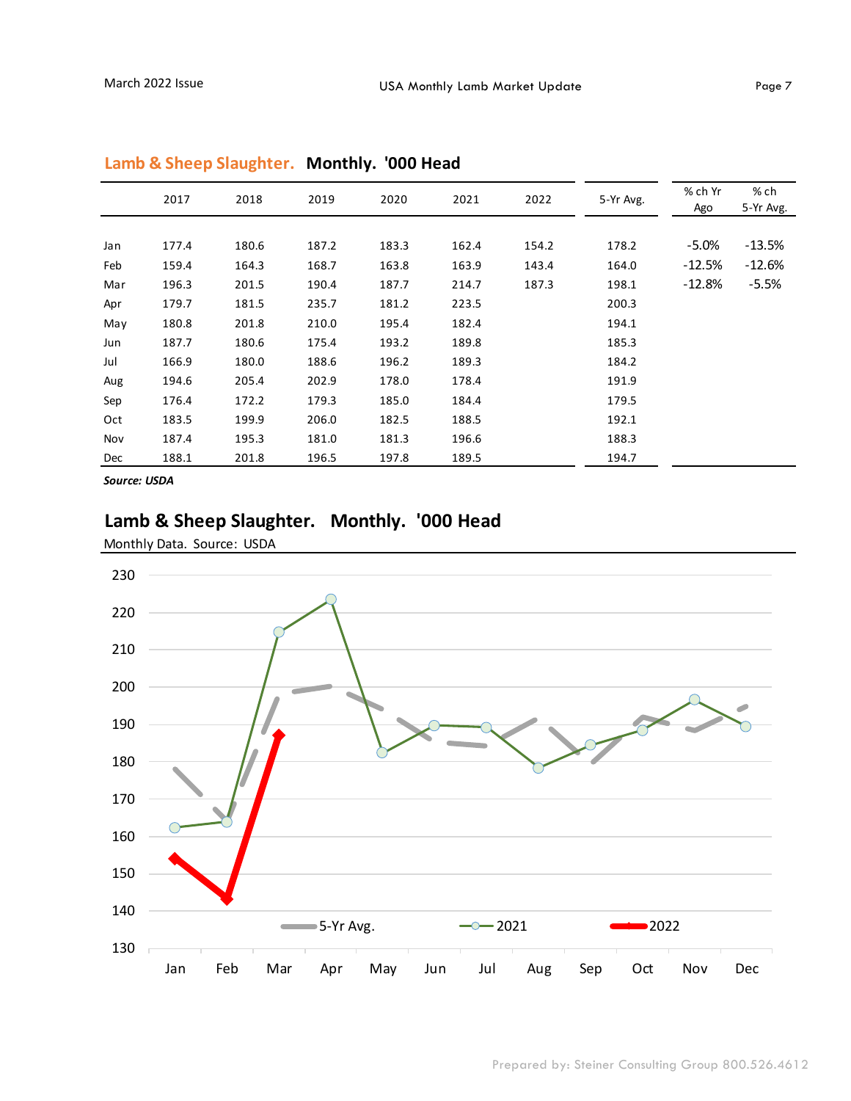|     | 2017  | 2018  | 2019  | 2020  | 2021  | 2022  | 5-Yr Avg. | % ch Yr<br>Ago | % ch<br>5-Yr Avg. |
|-----|-------|-------|-------|-------|-------|-------|-----------|----------------|-------------------|
|     |       |       |       |       |       |       |           |                |                   |
| Jan | 177.4 | 180.6 | 187.2 | 183.3 | 162.4 | 154.2 | 178.2     | $-5.0\%$       | $-13.5%$          |
| Feb | 159.4 | 164.3 | 168.7 | 163.8 | 163.9 | 143.4 | 164.0     | $-12.5%$       | $-12.6%$          |
| Mar | 196.3 | 201.5 | 190.4 | 187.7 | 214.7 | 187.3 | 198.1     | $-12.8%$       | $-5.5%$           |
| Apr | 179.7 | 181.5 | 235.7 | 181.2 | 223.5 |       | 200.3     |                |                   |
| May | 180.8 | 201.8 | 210.0 | 195.4 | 182.4 |       | 194.1     |                |                   |
| Jun | 187.7 | 180.6 | 175.4 | 193.2 | 189.8 |       | 185.3     |                |                   |
| Jul | 166.9 | 180.0 | 188.6 | 196.2 | 189.3 |       | 184.2     |                |                   |
| Aug | 194.6 | 205.4 | 202.9 | 178.0 | 178.4 |       | 191.9     |                |                   |
| Sep | 176.4 | 172.2 | 179.3 | 185.0 | 184.4 |       | 179.5     |                |                   |
| Oct | 183.5 | 199.9 | 206.0 | 182.5 | 188.5 |       | 192.1     |                |                   |
| Nov | 187.4 | 195.3 | 181.0 | 181.3 | 196.6 |       | 188.3     |                |                   |
| Dec | 188.1 | 201.8 | 196.5 | 197.8 | 189.5 |       | 194.7     |                |                   |

#### **Lamb & Sheep Slaughter. Monthly. '000 Head**

*Source: USDA*

#### **Lamb & Sheep Slaughter. Monthly. '000 Head**

Monthly Data. Source: USDA

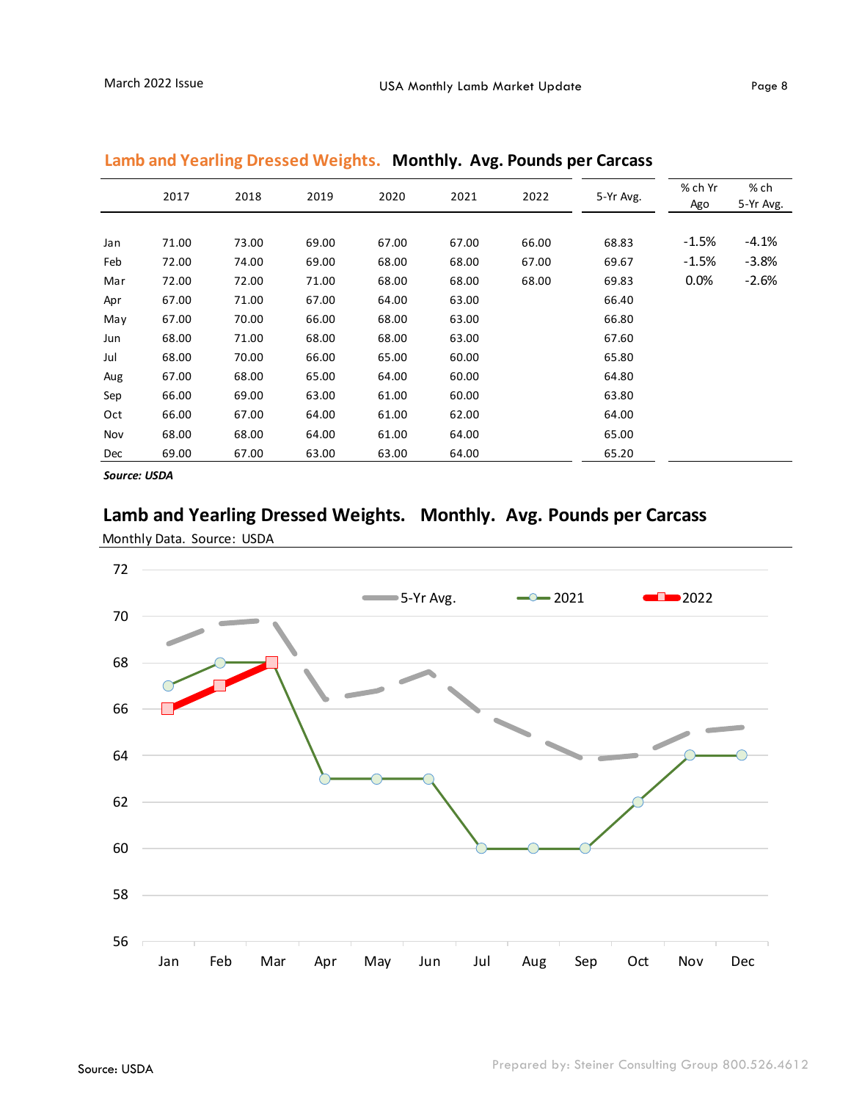| 2017  | 2018  | 2019  | 2020  | 2021  | 2022  | 5-Yr Avg. | % ch Yr<br>Ago | % ch<br>5-Yr Avg. |
|-------|-------|-------|-------|-------|-------|-----------|----------------|-------------------|
|       |       |       |       |       |       |           |                |                   |
| 71.00 | 73.00 | 69.00 | 67.00 | 67.00 | 66.00 | 68.83     | $-1.5%$        | $-4.1%$           |
| 72.00 | 74.00 | 69.00 | 68.00 | 68.00 | 67.00 | 69.67     | $-1.5%$        | $-3.8%$           |
| 72.00 | 72.00 | 71.00 | 68.00 | 68.00 | 68.00 | 69.83     | $0.0\%$        | $-2.6%$           |
| 67.00 | 71.00 | 67.00 | 64.00 | 63.00 |       | 66.40     |                |                   |
| 67.00 | 70.00 | 66.00 | 68.00 | 63.00 |       | 66.80     |                |                   |
| 68.00 | 71.00 | 68.00 | 68.00 | 63.00 |       | 67.60     |                |                   |
| 68.00 | 70.00 | 66.00 | 65.00 | 60.00 |       | 65.80     |                |                   |
| 67.00 | 68.00 | 65.00 | 64.00 | 60.00 |       | 64.80     |                |                   |
| 66.00 | 69.00 | 63.00 | 61.00 | 60.00 |       | 63.80     |                |                   |
| 66.00 | 67.00 | 64.00 | 61.00 | 62.00 |       | 64.00     |                |                   |
| 68.00 | 68.00 | 64.00 | 61.00 | 64.00 |       | 65.00     |                |                   |
| 69.00 | 67.00 | 63.00 | 63.00 | 64.00 |       | 65.20     |                |                   |
|       |       |       |       |       |       |           |                |                   |

#### **Lamb and Yearling Dressed Weights. Monthly. Avg. Pounds per Carcass**

*Source: USDA*

#### **Lamb and Yearling Dressed Weights. Monthly. Avg. Pounds per Carcass**

Monthly Data. Source: USDA

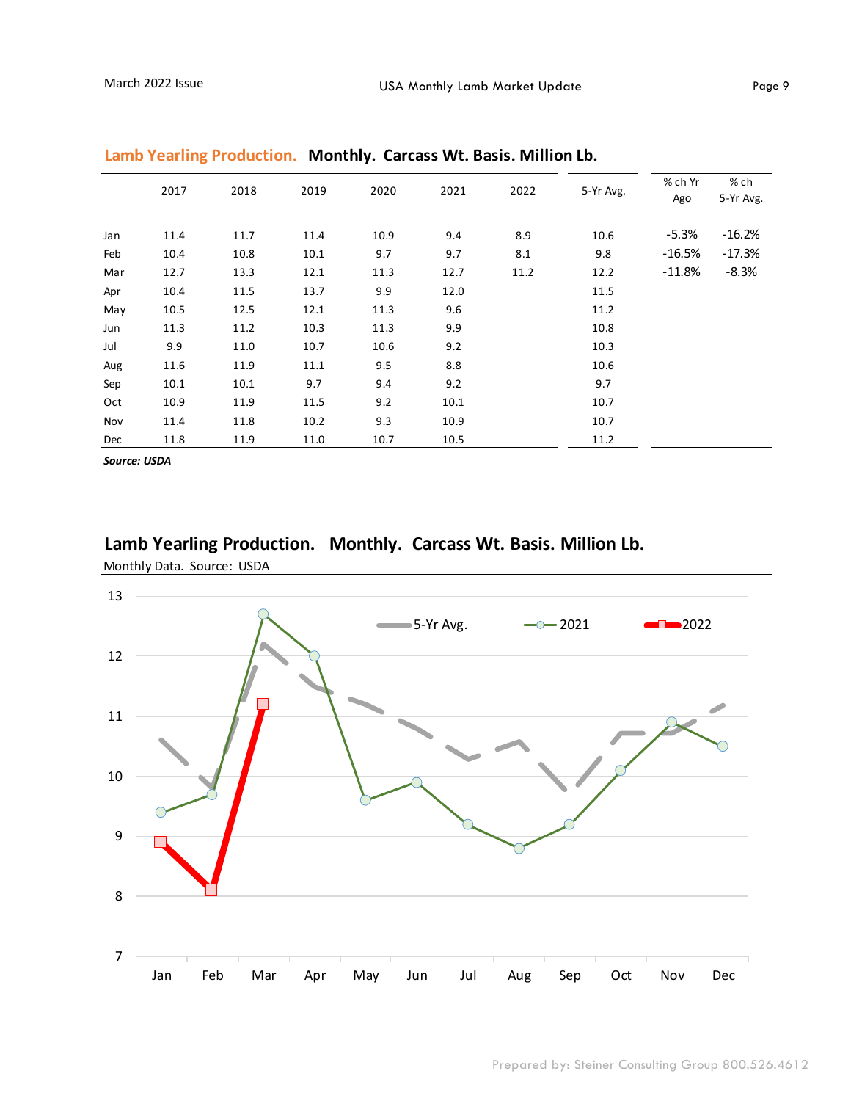|     | 2017 | 2018 | 2019 | 2020 | 2021 | 2022 | 5-Yr Avg. | % ch Yr<br>Ago | % ch<br>5-Yr Avg. |
|-----|------|------|------|------|------|------|-----------|----------------|-------------------|
|     |      |      |      |      |      |      |           |                |                   |
| Jan | 11.4 | 11.7 | 11.4 | 10.9 | 9.4  | 8.9  | 10.6      | $-5.3%$        | $-16.2%$          |
| Feb | 10.4 | 10.8 | 10.1 | 9.7  | 9.7  | 8.1  | 9.8       | $-16.5%$       | $-17.3%$          |
| Mar | 12.7 | 13.3 | 12.1 | 11.3 | 12.7 | 11.2 | 12.2      | $-11.8%$       | $-8.3%$           |
| Apr | 10.4 | 11.5 | 13.7 | 9.9  | 12.0 |      | 11.5      |                |                   |
| May | 10.5 | 12.5 | 12.1 | 11.3 | 9.6  |      | 11.2      |                |                   |
| Jun | 11.3 | 11.2 | 10.3 | 11.3 | 9.9  |      | 10.8      |                |                   |
| Jul | 9.9  | 11.0 | 10.7 | 10.6 | 9.2  |      | 10.3      |                |                   |
| Aug | 11.6 | 11.9 | 11.1 | 9.5  | 8.8  |      | 10.6      |                |                   |
| Sep | 10.1 | 10.1 | 9.7  | 9.4  | 9.2  |      | 9.7       |                |                   |
| Oct | 10.9 | 11.9 | 11.5 | 9.2  | 10.1 |      | 10.7      |                |                   |
| Nov | 11.4 | 11.8 | 10.2 | 9.3  | 10.9 |      | 10.7      |                |                   |
| Dec | 11.8 | 11.9 | 11.0 | 10.7 | 10.5 |      | 11.2      |                |                   |

|  | Lamb Yearling Production. Monthly. Carcass Wt. Basis. Million Lb. |
|--|-------------------------------------------------------------------|
|--|-------------------------------------------------------------------|

*Source: USDA*

### **Lamb Yearling Production. Monthly. Carcass Wt. Basis. Million Lb.**

Monthly Data. Source: USDA

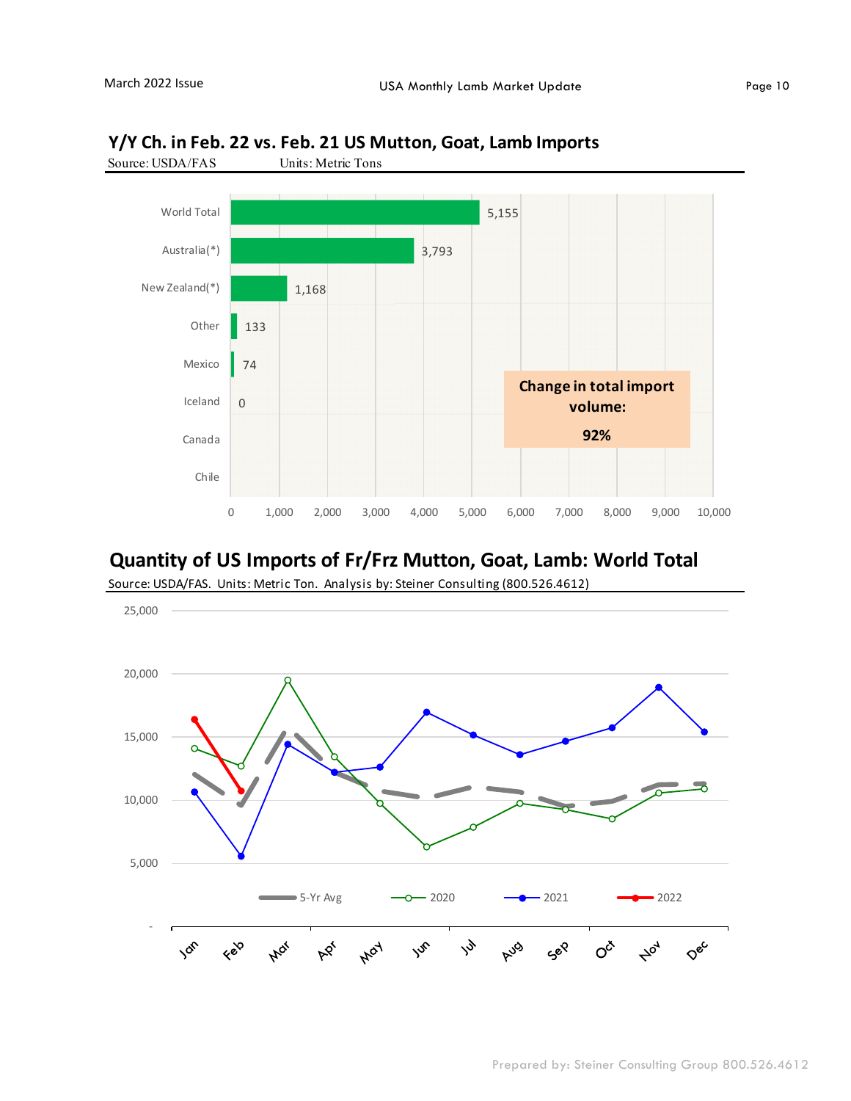

#### **Y/Y Ch. in Feb. 22 vs. Feb. 21 US Mutton, Goat, Lamb Imports**

#### **Quantity of US Imports of Fr/Frz Mutton, Goat, Lamb: World Total**

Source: USDA/FAS. Units: Metric Ton. Analysis by: Steiner Consulting (800.526.4612)

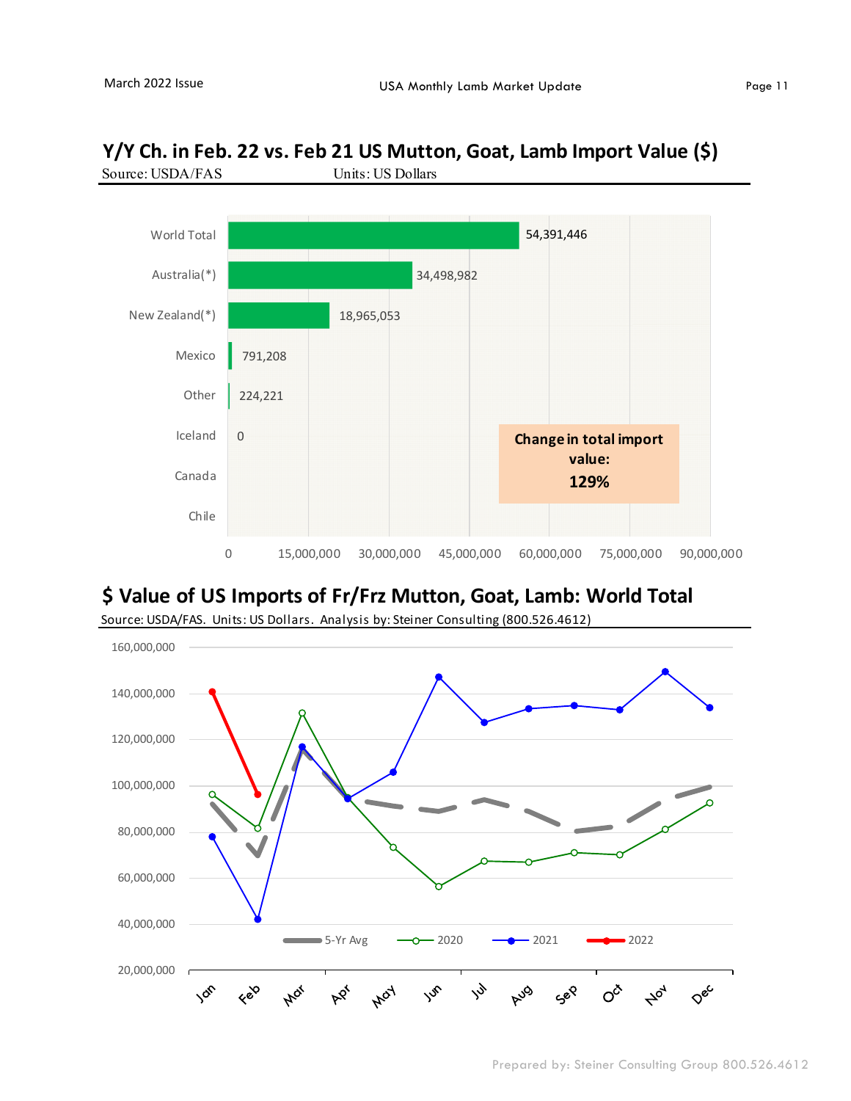

### **Y/Y Ch. in Feb. 22 vs. Feb 21 US Mutton, Goat, Lamb Import Value (\$)**

## **\$ Value of US Imports of Fr/Frz Mutton, Goat, Lamb: World Total**



Source: USDA/FAS. Units: US Dollars. Analysis by: Steiner Consulting (800.526.4612)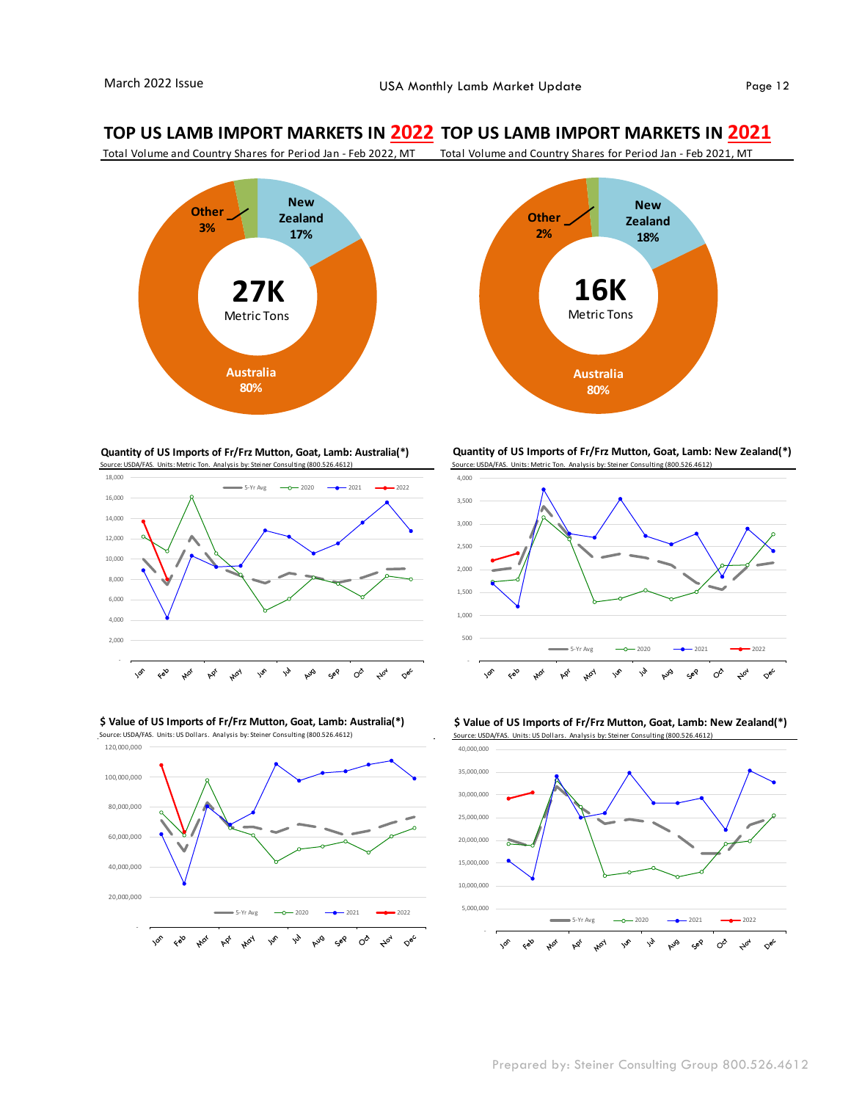#### **TOP US LAMB IMPORT MARKETS IN 2022 TOP US LAMB IMPORT MARKETS IN 2021**

Total Volume and Country Shares for Period Jan - Feb 2022, MT Total Volume and Country Shares for Period Jan - Feb 2021, MT



**Quantity of US Imports of Fr/Frz Mutton, Goat, Lamb: Australia(\*)** Source: USDA/FAS. Units: Metric Ton. Analysis by: Steiner Consulting (800.526.4612)



**\$ Value of US Imports of Fr/Frz Mutton, Goat, Lamb: Australia(\*)** Source: USDA/FAS. Units: US Dollars. Analysis by: Steiner Consulting (800.526.4612)





**Quantity of US Imports of Fr/Frz Mutton, Goat, Lamb: New Zealand(\*)** Source: USDA/FAS. Units: Metric Ton. Analysis by: Steiner Consulting (800.526.4612)



**\$ Value of US Imports of Fr/Frz Mutton, Goat, Lamb: New Zealand(\*)** Source: USDA/FAS. Units: US Dollars. Analysis by: Steiner Consulting (800.526.4612)

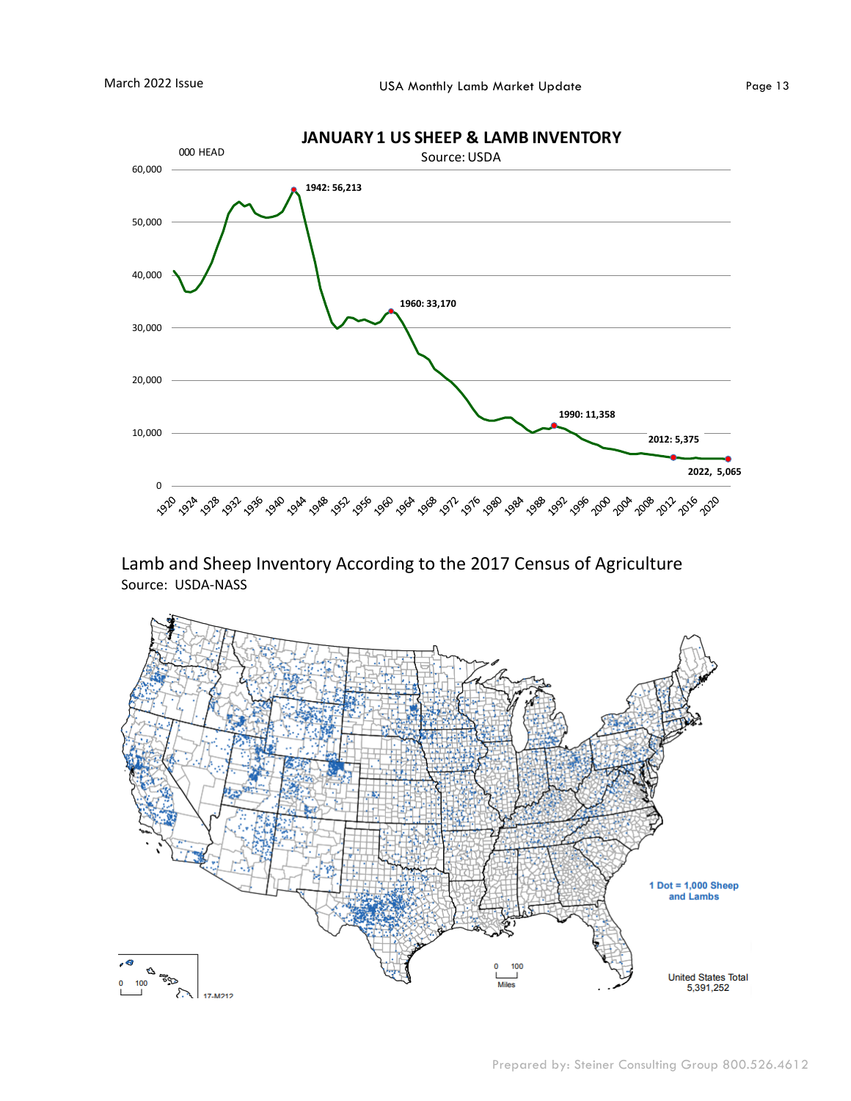0

10,000

20,000

30,000

40,000

50,000

60,000



**1990: 11,358**

**2012: 5,375**

**2022, 5,065** 

Lamb and Sheep Inventory According to the 2017 Census of Agriculture Source: USDA-NASS

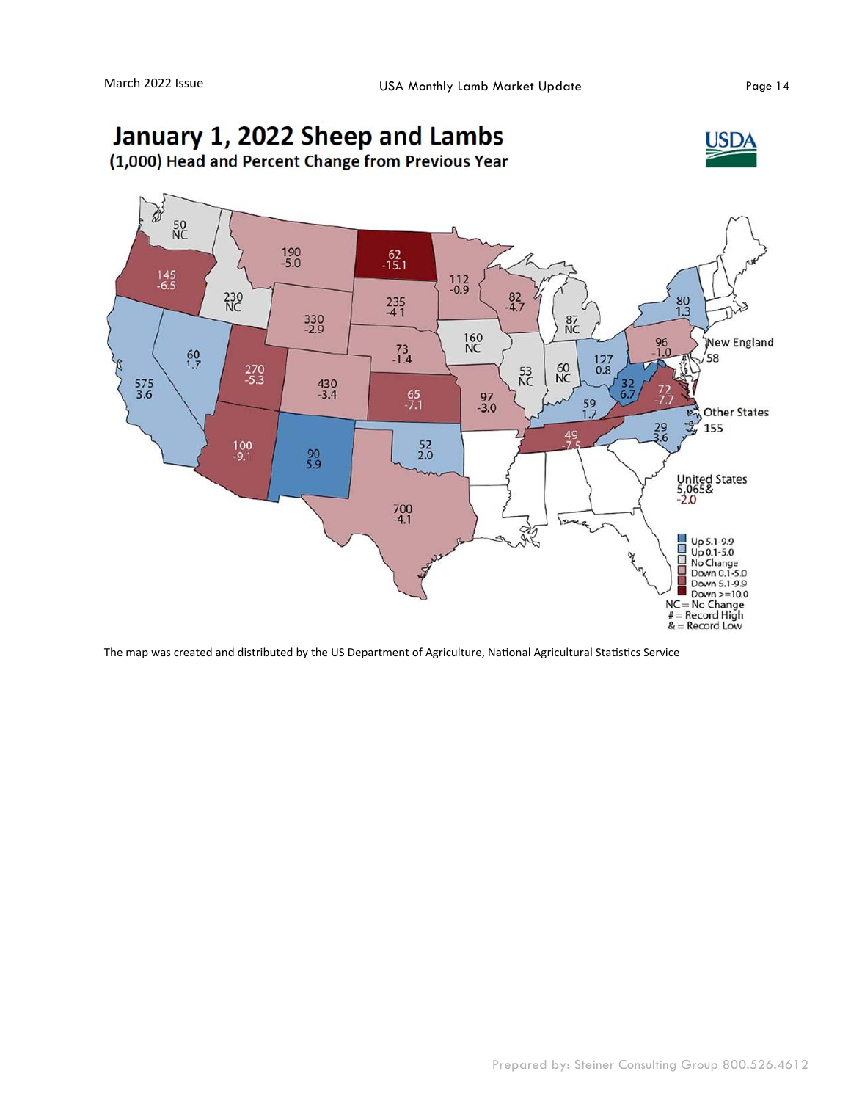#### January 1, 2022 Sheep and Lambs **JSDA** (1,000) Head and Percent Change from Previous Year È  $\frac{50}{NC}$  $190 - 5.0$  $-15.1$  $\frac{145}{-6.5}$  $\frac{112}{-0.9}$ 230<br>NC  $\frac{82}{4.7}$  $235 - 4.1$  $\frac{80}{1.3}$  $330 - 2.9$ 87<br>NC 160<br>NC  $\frac{96}{1.0}$ New England  $^{73}_{-1.4}$  $60$ <br> $1.7$  $58$ 127<br>0.8  $\frac{60}{NC}$  $270 - 5.3$  $53$ <br>NC  $\frac{575}{3.6}$  $430 - 3.4$  $\frac{32}{6.7}$  $^{72}_{7.}$  $\frac{65}{7.1}$  $\frac{97}{-3.0}$  $\frac{59}{1.7}$ **Other States** юÅ  $\frac{29}{3.6}$ 戈 155  $\frac{49}{75}$  $\frac{100}{-9.1}$  $\frac{52}{2.0}$  $^{90}_{5.9}$ United States<br>5,065&<br>-2.0  $\frac{700}{-4.1}$ 25 Up 5.1-9.9<br>Up 0.1-5.0<br>No Change<br>Down 0.1-5.0 国内国 Down 5.1-9.9  $Down>=10.0$  $NC = No Change$ <br> $# = Record High$ <br> $& = Record Low$

The map was created and distributed by the US Department of Agriculture, National Agricultural Statistics Service